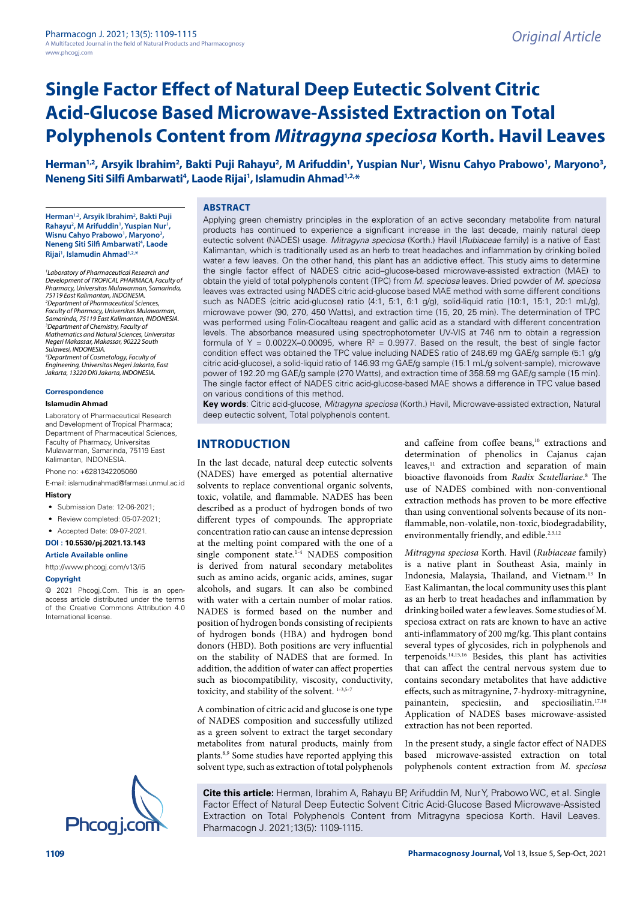Herman<sup>1,2</sup>, Arsyik Ibrahim<sup>2</sup>, Bakti Puji Rahayu<sup>2</sup>, M Arifuddin<sup>1</sup>, Yuspian Nur<sup>1</sup>, Wisnu Cahyo Prabowo<sup>1</sup>, Maryono<sup>3</sup>, **Neneng Siti Silfi Ambarwati4 , Laode Rijai1 , Islamudin Ahmad1,2,\***

**Herman1,2, Arsyik Ibrahim2 , Bakti Puji**  Rahayu<sup>2</sup>, M Arifuddin<sup>1</sup>, Yuspian Nur<sup>1</sup>, Wisnu Cahyo Prabowo<sup>1</sup>, Maryono<sup>3</sup>, **Neneng Siti Silfi Ambarwati4 , Laode Rijai1 , Islamudin Ahmad1,2,\***

*1 Laboratory of Pharmaceutical Research and Development of TROPICAL PHARMACA, Faculty of Pharmacy, Universitas Mulawarman, Samarinda, 75119 East Kalimantan, INDONESIA. 2 Department of Pharmaceutical Sciences, Faculty of Pharmacy, Universitas Mulawarman, Samarinda, 75119 East Kalimantan, INDONESIA. 3 Department of Chemistry, Faculty of Mathematics and Natural Sciences, Universitas Negeri Makassar, Makassar, 90222 South Sulawesi, INDONESIA. 4 Department of Cosmetology, Faculty of* 

*Engineering, Universitas Negeri Jakarta, East Jakarta, 13220 DKI Jakarta, INDONESIA.*

#### **Correspondence**

#### **Islamudin Ahmad**

Laboratory of Pharmaceutical Research and Development of Tropical Pharmaca; Department of Pharmaceutical Sciences, Faculty of Pharmacy, Universitas Mulawarman, Samarinda, 75119 East Kalimantan, INDONESIA. Phone no: +6281342205060

E-mail: islamudinahmad@farmasi.unmul.ac.id

#### **History**

- Submission Date: 12-06-2021;
- Review completed: 05-07-2021;
- Accepted Date: 09-07-2021.

#### **DOI : 10.5530/pj.2021.13.143**

#### **Article Available online**

[http://www.phcogj.com/v13/i5](http://www.phcogj.com/v13/i4)

#### **Copyright**

© 2021 Phcogj.Com. This is an openaccess article distributed under the terms of the Creative Commons Attribution 4.0 International license.



#### **ABSTRACT**

Applying green chemistry principles in the exploration of an active secondary metabolite from natural products has continued to experience a significant increase in the last decade, mainly natural deep eutectic solvent (NADES) usage. *Mitragyna speciosa* (Korth.) Havil (*Rubiaceae* family) is a native of East Kalimantan, which is traditionally used as an herb to treat headaches and inflammation by drinking boiled water a few leaves. On the other hand, this plant has an addictive effect. This study aims to determine the single factor effect of NADES citric acid–glucose-based microwave-assisted extraction (MAE) to obtain the yield of total polyphenols content (TPC) from *M. speciosa* leaves. Dried powder of *M. speciosa* leaves was extracted using NADES citric acid-glucose based MAE method with some different conditions such as NADES (citric acid-glucose) ratio (4:1, 5:1, 6:1 g/g), solid-liquid ratio (10:1, 15:1, 20:1 mL/g), microwave power (90, 270, 450 Watts), and extraction time (15, 20, 25 min). The determination of TPC was performed using Folin-Ciocalteau reagent and gallic acid as a standard with different concentration levels. The absorbance measured using spectrophotometer UV-VIS at 746 nm to obtain a regression formula of Y = 0.0022X-0.00095, where  $R^2$  = 0.9977. Based on the result, the best of single factor condition effect was obtained the TPC value including NADES ratio of 248.69 mg GAE/g sample (5:1 g/g citric acid-glucose), a solid-liquid ratio of 146.93 mg GAE/g sample (15:1 mL/g solvent-sample), microwave power of 192.20 mg GAE/g sample (270 Watts), and extraction time of 358.59 mg GAE/g sample (15 min). The single factor effect of NADES citric acid-glucose-based MAE shows a difference in TPC value based on various conditions of this method.

**Key words**: Citric acid-glucose, *Mitragyna speciosa* (Korth.) Havil, Microwave-assisted extraction, Natural deep eutectic solvent, Total polyphenols content.

# **INTRODUCTION**

In the last decade, natural deep eutectic solvents (NADES) have emerged as potential alternative solvents to replace conventional organic solvents, toxic, volatile, and flammable. NADES has been described as a product of hydrogen bonds of two different types of compounds. The appropriate concentration ratio can cause an intense depression at the melting point compared with the one of a single component state.<sup>1-4</sup> NADES composition is derived from natural secondary metabolites such as amino acids, organic acids, amines, sugar alcohols, and sugars. It can also be combined with water with a certain number of molar ratios. NADES is formed based on the number and position of hydrogen bonds consisting of recipients of hydrogen bonds (HBA) and hydrogen bond donors (HBD). Both positions are very influential on the stability of NADES that are formed. In addition, the addition of water can affect properties such as biocompatibility, viscosity, conductivity, toxicity, and stability of the solvent. 1-3,5-7

A combination of citric acid and glucose is one type of NADES composition and successfully utilized as a green solvent to extract the target secondary metabolites from natural products, mainly from plants.8,9 Some studies have reported applying this solvent type, such as extraction of total polyphenols

and caffeine from coffee beans,<sup>10</sup> extractions and determination of phenolics in Cajanus cajan leaves,<sup>11</sup> and extraction and separation of main bioactive flavonoids from *Radix Scutellariae*. 8 The use of NADES combined with non-conventional extraction methods has proven to be more effective than using conventional solvents because of its nonflammable, non-volatile, non-toxic, biodegradability, environmentally friendly, and edible.<sup>2,3,12</sup>

*Mitragyna speciosa* Korth. Havil (*Rubiaceae* family) is a native plant in Southeast Asia, mainly in Indonesia, Malaysia, Thailand, and Vietnam.13 In East Kalimantan, the local community uses this plant as an herb to treat headaches and inflammation by drinking boiled water a few leaves. Some studies of M. speciosa extract on rats are known to have an active anti-inflammatory of 200 mg/kg. This plant contains several types of glycosides, rich in polyphenols and terpenoids.14,15,16 Besides, this plant has activities that can affect the central nervous system due to contains secondary metabolites that have addictive effects, such as mitragynine, 7-hydroxy-mitragynine, painantein, speciesiin, and speciosiliatin.17,18 Application of NADES bases microwave-assisted extraction has not been reported.

In the present study, a single factor effect of NADES based microwave-assisted extraction on total polyphenols content extraction from *M. speciosa*

**Cite this article:** Herman, Ibrahim A, Rahayu BP, Arifuddin M, Nur Y, Prabowo WC, et al. Single Factor Effect of Natural Deep Eutectic Solvent Citric Acid-Glucose Based Microwave-Assisted Extraction on Total Polyphenols Content from Mitragyna speciosa Korth. Havil Leaves.<br>Phcogi.com Pharmacogn J. 2021;13(5): 1109-1115.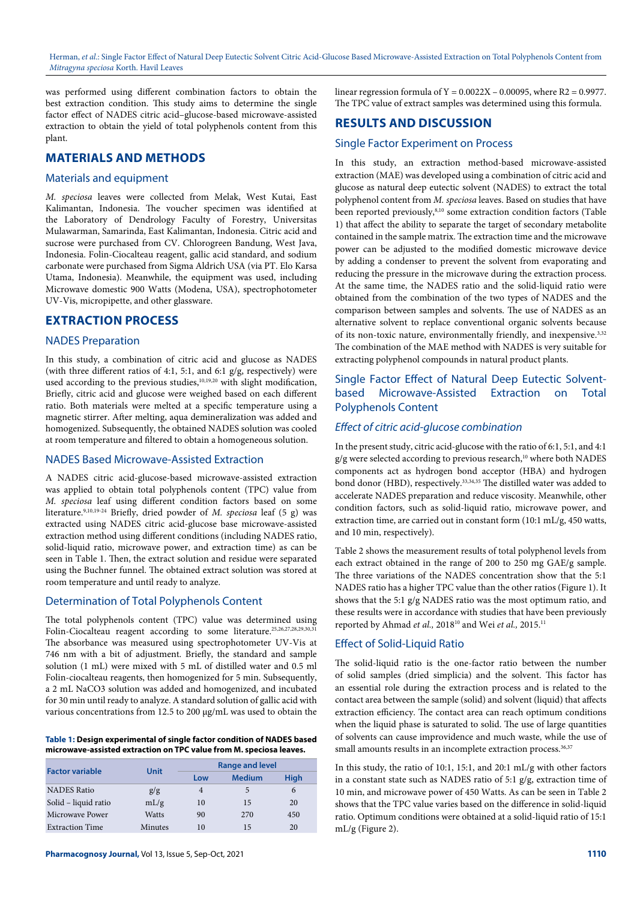was performed using different combination factors to obtain the best extraction condition. This study aims to determine the single factor effect of NADES citric acid–glucose-based microwave-assisted extraction to obtain the yield of total polyphenols content from this plant.

# **MATERIALS AND METHODS**

## Materials and equipment

*M. speciosa* leaves were collected from Melak, West Kutai, East Kalimantan, Indonesia. The voucher specimen was identified at the Laboratory of Dendrology Faculty of Forestry, Universitas Mulawarman, Samarinda, East Kalimantan, Indonesia. Citric acid and sucrose were purchased from CV. Chlorogreen Bandung, West Java, Indonesia. Folin-Ciocalteau reagent, gallic acid standard, and sodium carbonate were purchased from Sigma Aldrich USA (via PT. Elo Karsa Utama, Indonesia). Meanwhile, the equipment was used, including Microwave domestic 900 Watts (Modena, USA), spectrophotometer UV-Vis, micropipette, and other glassware.

## **EXTRACTION PROCESS**

## NADES Preparation

In this study, a combination of citric acid and glucose as NADES (with three different ratios of 4:1, 5:1, and 6:1 g/g, respectively) were used according to the previous studies,<sup>10,19,20</sup> with slight modification, Briefly, citric acid and glucose were weighed based on each different ratio. Both materials were melted at a specific temperature using a magnetic stirrer. After melting, aqua demineralization was added and homogenized. Subsequently, the obtained NADES solution was cooled at room temperature and filtered to obtain a homogeneous solution.

## NADES Based Microwave-Assisted Extraction

A NADES citric acid-glucose-based microwave-assisted extraction was applied to obtain total polyphenols content (TPC) value from *M. speciosa* leaf using different condition factors based on some literature.9,10,19-24 Briefly, dried powder of *M. speciosa* leaf (5 g) was extracted using NADES citric acid-glucose base microwave-assisted extraction method using different conditions (including NADES ratio, solid-liquid ratio, microwave power, and extraction time) as can be seen in Table 1. Then, the extract solution and residue were separated using the Buchner funnel. The obtained extract solution was stored at room temperature and until ready to analyze.

## Determination of Total Polyphenols Content

The total polyphenols content (TPC) value was determined using Folin-Ciocalteau reagent according to some literature.25,26,27,28,29,30,31 The absorbance was measured using spectrophotometer UV-Vis at 746 nm with a bit of adjustment. Briefly, the standard and sample solution (1 mL) were mixed with 5 mL of distilled water and 0.5 ml Folin-ciocalteau reagents, then homogenized for 5 min. Subsequently, a 2 mL NaCO3 solution was added and homogenized, and incubated for 30 min until ready to analyze. A standard solution of gallic acid with various concentrations from 12.5 to 200 μg/mL was used to obtain the

#### **Table 1: Design experimental of single factor condition of NADES based microwave-assisted extraction on TPC value from M. speciosa leaves.**

| <b>Factor variable</b> | Unit         | <b>Range and level</b> |               |      |
|------------------------|--------------|------------------------|---------------|------|
|                        |              | Low                    | <b>Medium</b> | Hiah |
| <b>NADES</b> Ratio     | g/g          |                        | 5             | 6    |
| Solid – liquid ratio   | mL/g         | 10                     | 15            | 20   |
| Microwave Power        | <b>Watts</b> | 90                     | 270           | 450  |
| <b>Extraction Time</b> | Minutes      | 10                     | 15            | 20   |

linear regression formula of  $Y = 0.0022X - 0.00095$ , where  $R2 = 0.9977$ . The TPC value of extract samples was determined using this formula.

# **RESULTS AND DISCUSSION**

## Single Factor Experiment on Process

In this study, an extraction method-based microwave-assisted extraction (MAE) was developed using a combination of citric acid and glucose as natural deep eutectic solvent (NADES) to extract the total polyphenol content from *M. speciosa* leaves. Based on studies that have been reported previously, $8,10$  some extraction condition factors (Table 1) that affect the ability to separate the target of secondary metabolite contained in the sample matrix. The extraction time and the microwave power can be adjusted to the modified domestic microwave device by adding a condenser to prevent the solvent from evaporating and reducing the pressure in the microwave during the extraction process. At the same time, the NADES ratio and the solid-liquid ratio were obtained from the combination of the two types of NADES and the comparison between samples and solvents. The use of NADES as an alternative solvent to replace conventional organic solvents because of its non-toxic nature, environmentally friendly, and inexpensive.<sup>3,32</sup> The combination of the MAE method with NADES is very suitable for extracting polyphenol compounds in natural product plants.

# Single Factor Effect of Natural Deep Eutectic Solventbased Microwave-Assisted Extraction on Total Polyphenols Content

## *Effect of citric acid-glucose combination*

In the present study, citric acid-glucose with the ratio of 6:1, 5:1, and 4:1  $g/g$  were selected according to previous research,<sup>10</sup> where both NADES components act as hydrogen bond acceptor (HBA) and hydrogen bond donor (HBD), respectively.<sup>33,34,35</sup> The distilled water was added to accelerate NADES preparation and reduce viscosity. Meanwhile, other condition factors, such as solid-liquid ratio, microwave power, and extraction time, are carried out in constant form (10:1 mL/g, 450 watts, and 10 min, respectively).

Table 2 shows the measurement results of total polyphenol levels from each extract obtained in the range of 200 to 250 mg GAE/g sample. The three variations of the NADES concentration show that the 5:1 NADES ratio has a higher TPC value than the other ratios (Figure 1). It shows that the 5:1 g/g NADES ratio was the most optimum ratio, and these results were in accordance with studies that have been previously reported by Ahmad *et al.,* 201810 and Wei *et al.,* 2015.11

## Effect of Solid-Liquid Ratio

The solid-liquid ratio is the one-factor ratio between the number of solid samples (dried simplicia) and the solvent. This factor has an essential role during the extraction process and is related to the contact area between the sample (solid) and solvent (liquid) that affects extraction efficiency. The contact area can reach optimum conditions when the liquid phase is saturated to solid. The use of large quantities of solvents can cause improvidence and much waste, while the use of small amounts results in an incomplete extraction process.<sup>36,37</sup>

In this study, the ratio of 10:1, 15:1, and 20:1 mL/g with other factors in a constant state such as NADES ratio of 5:1  $g/g$ , extraction time of 10 min, and microwave power of 450 Watts. As can be seen in Table 2 shows that the TPC value varies based on the difference in solid-liquid ratio. Optimum conditions were obtained at a solid-liquid ratio of 15:1 mL/g (Figure 2).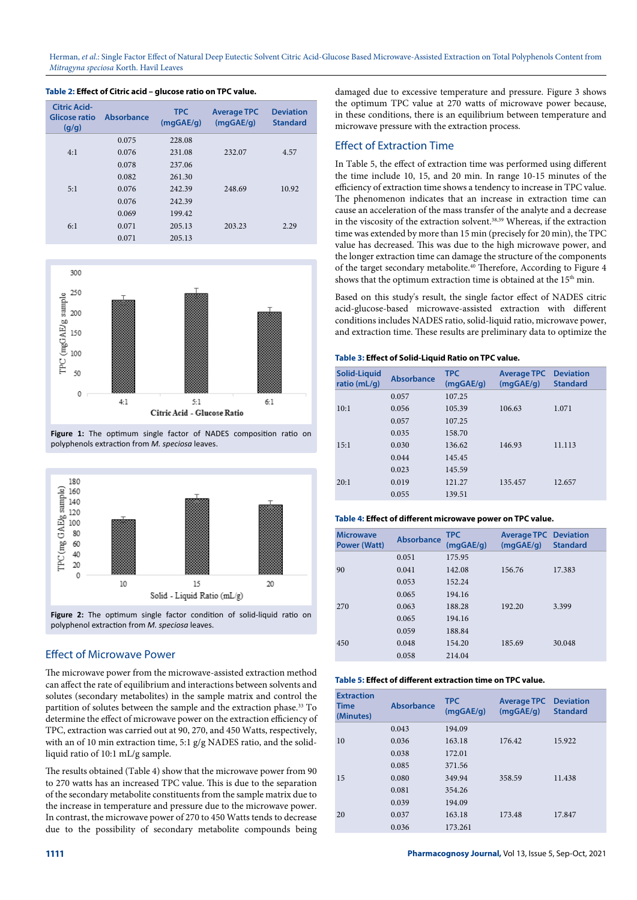| Citric Acid-<br>Glicose ratio<br>(g/g) | Absorbance | <b>TPC</b><br>(mqGAE/q) | <b>Average TPC</b><br>(mqGAE/q) | <b>Deviation</b><br><b>Standard</b> |
|----------------------------------------|------------|-------------------------|---------------------------------|-------------------------------------|
|                                        | 0.075      | 228.08                  |                                 |                                     |
| 4:1                                    | 0.076      | 231.08                  | 232.07                          | 4.57                                |
|                                        | 0.078      | 237.06                  |                                 |                                     |
|                                        | 0.082      | 261.30                  |                                 |                                     |
| 5:1                                    | 0.076      | 242.39                  | 248.69                          | 10.92                               |
|                                        | 0.076      | 242.39                  |                                 |                                     |
|                                        | 0.069      | 199.42                  |                                 |                                     |
| 6:1                                    | 0.071      | 205.13                  | 203.23                          | 2.29                                |
|                                        | 0.071      | 205.13                  |                                 |                                     |

## **Table 2: Effect of Citric acid – glucose ratio on TPC value.**



**Figure 1:** The optimum single factor of NADES composition ratio on polyphenols extraction from *M. speciosa* leaves.



**Figure 2:** The optimum single factor condition of solid-liquid ratio on polyphenol extraction from *M. speciosa* leaves.

# Effect of Microwave Power

The microwave power from the microwave-assisted extraction method can affect the rate of equilibrium and interactions between solvents and solutes (secondary metabolites) in the sample matrix and control the partition of solutes between the sample and the extraction phase.<sup>33</sup> To determine the effect of microwave power on the extraction efficiency of TPC, extraction was carried out at 90, 270, and 450 Watts, respectively, with an of 10 min extraction time, 5:1 g/g NADES ratio, and the solidliquid ratio of 10:1 mL/g sample.

The results obtained (Table 4) show that the microwave power from 90 to 270 watts has an increased TPC value. This is due to the separation of the secondary metabolite constituents from the sample matrix due to the increase in temperature and pressure due to the microwave power. In contrast, the microwave power of 270 to 450 Watts tends to decrease due to the possibility of secondary metabolite compounds being damaged due to excessive temperature and pressure. Figure 3 shows the optimum TPC value at 270 watts of microwave power because, in these conditions, there is an equilibrium between temperature and microwave pressure with the extraction process.

## Effect of Extraction Time

In Table 5, the effect of extraction time was performed using different the time include 10, 15, and 20 min. In range 10-15 minutes of the efficiency of extraction time shows a tendency to increase in TPC value. The phenomenon indicates that an increase in extraction time can cause an acceleration of the mass transfer of the analyte and a decrease in the viscosity of the extraction solvent.  $38,39$  Whereas, if the extraction time was extended by more than 15 min (precisely for 20 min), the TPC value has decreased. This was due to the high microwave power, and the longer extraction time can damage the structure of the components of the target secondary metabolite.40 Therefore, According to Figure 4 shows that the optimum extraction time is obtained at the  $15<sup>th</sup>$  min.

Based on this study's result, the single factor effect of NADES citric acid-glucose-based microwave-assisted extraction with different conditions includes NADES ratio, solid-liquid ratio, microwave power, and extraction time. These results are preliminary data to optimize the

## **Table 3: Effect of Solid-Liquid Ratio on TPC value.**

| Solid-Liquid<br>ratio ( $mL/q$ ) | <b>Absorbance</b> | <b>TPC</b><br>(mqGAE/q) | <b>Average TPC</b><br>(mqGAE/q) | <b>Deviation</b><br><b>Standard</b> |
|----------------------------------|-------------------|-------------------------|---------------------------------|-------------------------------------|
|                                  | 0.057             | 107.25                  |                                 |                                     |
| 10:1                             | 0.056             | 105.39                  | 106.63                          | 1.071                               |
|                                  | 0.057             | 107.25                  |                                 |                                     |
|                                  | 0.035             | 158.70                  |                                 |                                     |
| 15:1                             | 0.030             | 136.62                  | 146.93                          | 11.113                              |
|                                  | 0.044             | 145.45                  |                                 |                                     |
|                                  | 0.023             | 145.59                  |                                 |                                     |
| 20:1                             | 0.019             | 121.27                  | 135.457                         | 12.657                              |
|                                  | 0.055             | 139.51                  |                                 |                                     |

#### **Table 4: Effect of different microwave power on TPC value.**

| <b>Microwave</b><br><b>Power (Watt)</b> | Absorbance | <b>TPC</b><br>(mqGAE/q) | <b>Average TPC Deviation</b><br>(mqGAE/q) | <b>Standard</b> |
|-----------------------------------------|------------|-------------------------|-------------------------------------------|-----------------|
|                                         | 0.051      | 175.95                  |                                           |                 |
| 90                                      | 0.041      | 142.08                  | 156.76                                    | 17.383          |
|                                         | 0.053      | 152.24                  |                                           |                 |
|                                         | 0.065      | 194.16                  |                                           |                 |
| 270                                     | 0.063      | 188.28                  | 192.20                                    | 3.399           |
|                                         | 0.065      | 194.16                  |                                           |                 |
|                                         | 0.059      | 188.84                  |                                           |                 |
| 450                                     | 0.048      | 154.20                  | 185.69                                    | 30.048          |
|                                         | 0.058      | 214.04                  |                                           |                 |

#### **Table 5: Effect of different extraction time on TPC value.**

| <b>Extraction</b><br>Time<br>(Minutes) | <b>Absorbance</b> | <b>TPC</b><br>(mqGAE/q) | <b>Average TPC</b><br>(mqGAE/q) | <b>Deviation</b><br><b>Standard</b> |
|----------------------------------------|-------------------|-------------------------|---------------------------------|-------------------------------------|
|                                        | 0.043             | 194.09                  |                                 |                                     |
| 10                                     | 0.036             | 163.18                  | 176.42                          | 15.922                              |
|                                        | 0.038             | 172.01                  |                                 |                                     |
|                                        | 0.085             | 371.56                  |                                 |                                     |
| 15                                     | 0.080             | 349.94                  | 358.59                          | 11.438                              |
|                                        | 0.081             | 354.26                  |                                 |                                     |
|                                        | 0.039             | 194.09                  |                                 |                                     |
| 20                                     | 0.037             | 163.18                  | 173.48                          | 17.847                              |
|                                        | 0.036             | 173.261                 |                                 |                                     |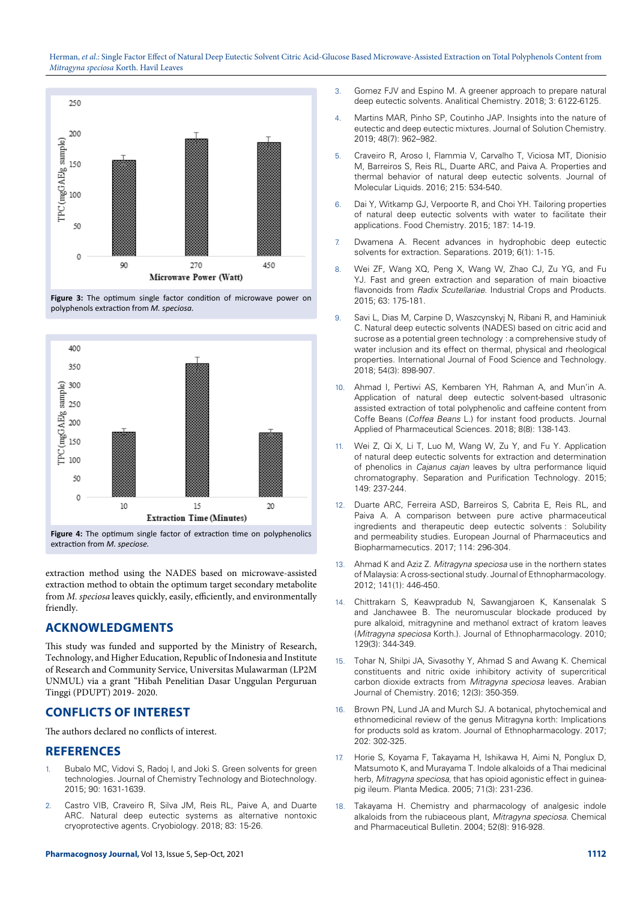

**Figure 3:** The optimum single factor condition of microwave power on polyphenols extraction from *M. speciosa.*



**Figure 4:** The optimum single factor of extraction time on polyphenolics extraction from *M. speciose.*

extraction method using the NADES based on microwave-assisted extraction method to obtain the optimum target secondary metabolite from *M. speciosa* leaves quickly, easily, efficiently, and environmentally friendly.

# **ACKNOWLEDGMENTS**

This study was funded and supported by the Ministry of Research, Technology, and Higher Education, Republic of Indonesia and Institute of Research and Community Service, Universitas Mulawarman (LP2M UNMUL) via a grant "Hibah Penelitian Dasar Unggulan Perguruan Tinggi (PDUPT) 2019- 2020.

# **CONFLICTS OF INTEREST**

The authors declared no conflicts of interest.

# **REFERENCES**

- 1. Bubalo MC, Vidovi S, Radoj I, and Joki S. Green solvents for green technologies. Journal of Chemistry Technology and Biotechnology. 2015; 90: 1631-1639.
- 2. Castro VIB, Craveiro R, Silva JM, Reis RL, Paive A, and Duarte ARC. Natural deep eutectic systems as alternative nontoxic cryoprotective agents. Cryobiology. 2018; 83: 15-26.
- 3. Gomez FJV and Espino M. A greener approach to prepare natural deep eutectic solvents. Analitical Chemistry. 2018; 3: 6122-6125.
- 4. Martins MAR, Pinho SP, Coutinho JAP. Insights into the nature of eutectic and deep eutectic mixtures. Journal of Solution Chemistry. 2019; 48(7): 962–982.
- 5. Craveiro R, Aroso I, Flammia V, Carvalho T, Viciosa MT, Dionisio M, Barreiros S, Reis RL, Duarte ARC, and Paiva A. Properties and thermal behavior of natural deep eutectic solvents. Journal of Molecular Liquids. 2016; 215: 534-540.
- 6. Dai Y, Witkamp GJ, Verpoorte R, and Choi YH. Tailoring properties of natural deep eutectic solvents with water to facilitate their applications. Food Chemistry. 2015; 187: 14-19.
- 7. Dwamena A. Recent advances in hydrophobic deep eutectic solvents for extraction. Separations. 2019; 6(1): 1-15.
- 8. Wei ZF, Wang XQ, Peng X, Wang W, Zhao CJ, Zu YG, and Fu YJ. Fast and green extraction and separation of main bioactive flavonoids from *Radix Scutellariae*. Industrial Crops and Products. 2015; 63: 175-181.
- 9. Savi L, Dias M, Carpine D, Waszcynskyj N, Ribani R, and Haminiuk C. Natural deep eutectic solvents (NADES) based on citric acid and sucrose as a potential green technology : a comprehensive study of water inclusion and its effect on thermal, physical and rheological properties. International Journal of Food Science and Technology*.* 2018; 54(3): 898-907.
- 10. Ahmad I, Pertiwi AS, Kembaren YH, Rahman A, and Mun'in A. Application of natural deep eutectic solvent-based ultrasonic assisted extraction of total polyphenolic and caffeine content from Coffe Beans (*Coffea Beans* L.) for instant food products. Journal Applied of Pharmaceutical Sciences. 2018; 8(8): 138-143.
- 11. Wei Z, Qi X, Li T, Luo M, Wang W, Zu Y, and Fu Y. Application of natural deep eutectic solvents for extraction and determination of phenolics in *Cajanus cajan* leaves by ultra performance liquid chromatography. Separation and Purification Technology. 2015; 149: 237-244.
- 12. Duarte ARC, Ferreira ASD, Barreiros S, Cabrita E, Reis RL, and Paiva A. A comparison between pure active pharmaceutical ingredients and therapeutic deep eutectic solvents : Solubility and permeability studies. European Journal of Pharmaceutics and Biopharmamecutics*.* 2017; 114: 296-304.
- 13. Ahmad K and Aziz Z. *Mitragyna speciosa* use in the northern states of Malaysia: A cross-sectional study. Journal of Ethnopharmacology. 2012; 141(1): 446-450.
- 14. Chittrakarn S, Keawpradub N, Sawangjaroen K, Kansenalak S and Janchawee B. The neuromuscular blockade produced by pure alkaloid, mitragynine and methanol extract of kratom leaves (*Mitragyna speciosa* Korth.). Journal of Ethnopharmacology. 2010; 129(3): 344-349.
- 15. Tohar N, Shilpi JA, Sivasothy Y, Ahmad S and Awang K. Chemical constituents and nitric oxide inhibitory activity of supercritical carbon dioxide extracts from *Mitragyna speciosa* leaves. Arabian Journal of Chemistry. 2016; 12(3): 350-359.
- 16. Brown PN, Lund JA and Murch SJ. A botanical, phytochemical and ethnomedicinal review of the genus Mitragyna korth: Implications for products sold as kratom. Journal of Ethnopharmacology*.* 2017; 202: 302-325.
- 17. Horie S, Koyama F, Takayama H, Ishikawa H, Aimi N, Ponglux D, Matsumoto K, and Murayama T. Indole alkaloids of a Thai medicinal herb, *Mitragyna speciosa*, that has opioid agonistic effect in guineapig ileum. Planta Medica. 2005; 71(3): 231-236.
- 18. Takayama H. Chemistry and pharmacology of analgesic indole alkaloids from the rubiaceous plant, *Mitragyna speciosa.* Chemical and Pharmaceutical Bulletin*.* 2004; 52(8): 916-928.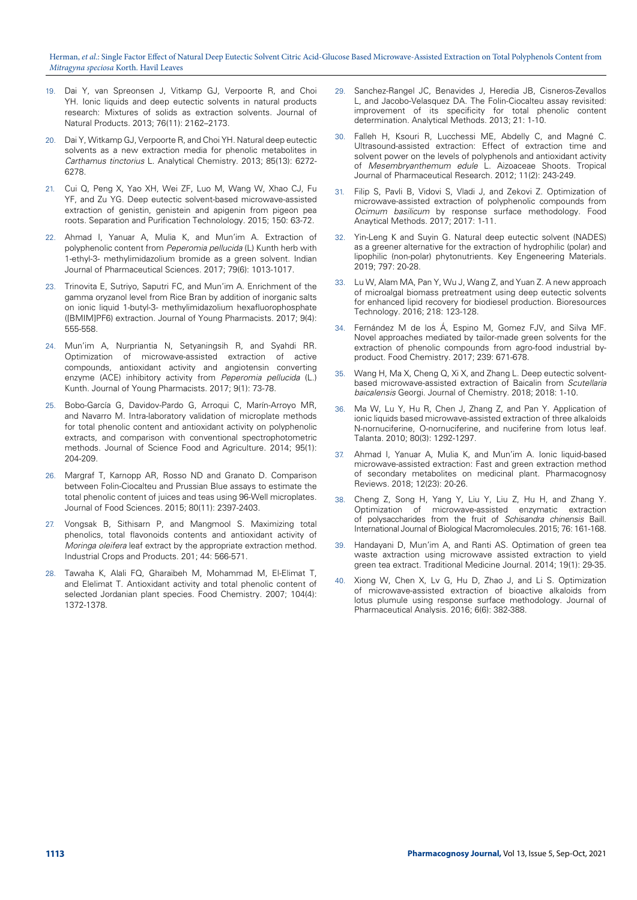- 19. Dai Y, van Spreonsen J, Vitkamp GJ, Verpoorte R, and Choi YH. Ionic liquids and deep eutectic solvents in natural products research: Mixtures of solids as extraction solvents. Journal of Natural Products*.* 2013; 76(11): 2162–2173.
- 20. Dai Y, Witkamp GJ, Verpoorte R, and Choi YH. Natural deep eutectic solvents as a new extraction media for phenolic metabolites in *Carthamus tinctorius* L. Analytical Chemistry. 2013; 85(13): 6272- 6278.
- 21. Cui Q, Peng X, Yao XH, Wei ZF, Luo M, Wang W, Xhao CJ, Fu YF, and Zu YG. Deep eutectic solvent-based microwave-assisted extraction of genistin, genistein and apigenin from pigeon pea roots. Separation and Purification Technolology. 2015; 150: 63-72.
- Ahmad I, Yanuar A, Mulia K, and Mun'im A. Extraction of polyphenolic content from *Peperomia pellucida* (L) Kunth herb with 1-ethyl-3- methylimidazolium bromide as a green solvent. Indian Journal of Pharmaceutical Sciences. 2017; 79(6): 1013-1017.
- 23. Trinovita E, Sutriyo, Saputri FC, and Mun'im A. Enrichment of the gamma oryzanol level from Rice Bran by addition of inorganic salts on ionic liquid 1-butyl-3- methylimidazolium hexafluorophosphate ([BMIM]PF6) extraction. Journal of Young Pharmacists. 2017; 9(4): 555-558.
- 24. Mun'im A, Nurpriantia N, Setyaningsih R, and Syahdi RR. Optimization of microwave-assisted extraction of active compounds, antioxidant activity and angiotensin converting enzyme (ACE) inhibitory activity from *Peperomia pellucida* (L.) Kunth. Journal of Young Pharmacists. 2017; 9(1): 73-78.
- 25. Bobo-García G, Davidov-Pardo G, Arroqui C, Marín-Arroyo MR, and Navarro M. Intra-laboratory validation of microplate methods for total phenolic content and antioxidant activity on polyphenolic extracts, and comparison with conventional spectrophotometric methods. Journal of Science Food and Agriculture*.* 2014; 95(1): 204-209.
- 26. Margraf T, Karnopp AR, Rosso ND and Granato D. Comparison between Folin-Ciocalteu and Prussian Blue assays to estimate the total phenolic content of juices and teas using 96-Well microplates. Journal of Food Sciences. 2015; 80(11): 2397-2403.
- 27. Vongsak B, Sithisarn P, and Mangmool S. Maximizing total phenolics, total flavonoids contents and antioxidant activity of *Moringa oleifera* leaf extract by the appropriate extraction method. Industrial Crops and Products. 201; 44: 566-571.
- Tawaha K, Alali FQ, Gharaibeh M, Mohammad M, El-Elimat T, and Elelimat T. Antioxidant activity and total phenolic content of selected Jordanian plant species. Food Chemistry. 2007; 104(4): 1372-1378.
- 29. Sanchez-Rangel JC, Benavides J, Heredia JB, Cisneros-Zevallos L, and Jacobo-Velasquez DA. The Folin-Ciocalteu assay revisited: improvement of its specificity for total phenolic content determination. Analytical Methods. 2013; 21: 1-10.
- 30. Falleh H, Ksouri R, Lucchessi ME, Abdelly C, and Magné C. Ultrasound-assisted extraction: Effect of extraction time and solvent power on the levels of polyphenols and antioxidant activity of *Mesembryanthemum edule* L. Aizoaceae Shoots. Tropical Journal of Pharmaceutical Research. 2012; 11(2): 243-249.
- Filip S, Pavli B, Vidovi S, Vladi J, and Zekovi Z. Optimization of microwave-assisted extraction of polyphenolic compounds from *Ocimum basilicum* by response surface methodology. Food Anaytical Methods. 2017; 2017: 1-11.
- 32. Yin-Leng K and Suyin G. Natural deep eutectic solvent (NADES) as a greener alternative for the extraction of hydrophilic (polar) and lipophilic (non-polar) phytonutrients. Key Engeneering Materials. 2019; 797: 20-28.
- 33. Lu W, Alam MA, Pan Y, Wu J, Wang Z, and Yuan Z. A new approach of microalgal biomass pretreatment using deep eutectic solvents for enhanced lipid recovery for biodiesel production. Bioresources Technology. 2016; 218: 123-128.
- 34. Fernández M de los Á, Espino M, Gomez FJV, and Silva MF. Novel approaches mediated by tailor-made green solvents for the extraction of phenolic compounds from agro-food industrial byproduct. Food Chemistry. 2017; 239: 671-678.
- 35. Wang H, Ma X, Cheng Q, Xi X, and Zhang L. Deep eutectic solventbased microwave-assisted extraction of Baicalin from *Scutellaria baicalensis* Georgi. Journal of Chemistry. 2018; 2018: 1-10.
- 36. Ma W, Lu Y, Hu R, Chen J, Zhang Z, and Pan Y. Application of ionic liquids based microwave-assisted extraction of three alkaloids N-nornuciferine, O-nornuciferine, and nuciferine from lotus leaf. Talanta. 2010; 80(3): 1292-1297.
- 37. Ahmad I, Yanuar A, Mulia K, and Mun'im A. Ionic liquid-based microwave-assisted extraction: Fast and green extraction method of secondary metabolites on medicinal plant. Pharmacognosy Reviews. 2018; 12(23): 20-26.
- 38. Cheng Z, Song H, Yang Y, Liu Y, Liu Z, Hu H, and Zhang Y. Optimization of microwave-assisted enzymatic extraction of polysaccharides from the fruit of *Schisandra chinensis* Baill. International Journal of Biological Macromolecules. 2015; 76: 161-168.
- 39. Handayani D, Mun'im A, and Ranti AS. Optimation of green tea waste axtraction using microwave assisted extraction to yield green tea extract. Traditional Medicine Journal. 2014; 19(1): 29-35.
- 40. Xiong W, Chen X, Lv G, Hu D, Zhao J, and Li S. Optimization of microwave-assisted extraction of bioactive alkaloids from lotus plumule using response surface methodology. Journal of Pharmaceutical Analysis. 2016; 6(6): 382-388.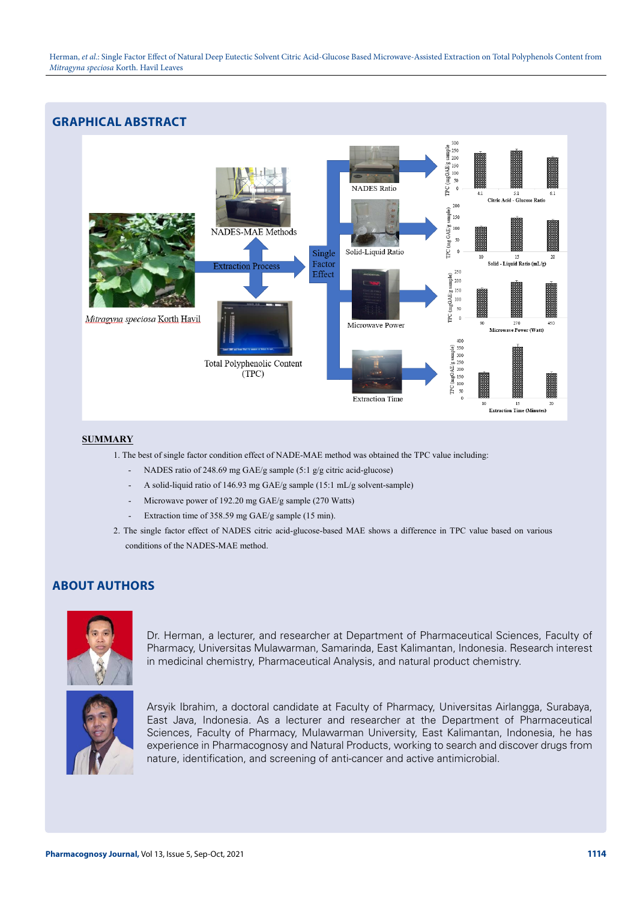

## **SUMMARY**

- 1. The best of single factor condition effect of NADE-MAE method was obtained the TPC value including:
	- NADES ratio of 248.69 mg GAE/g sample (5:1 g/g citric acid-glucose)
	- A solid-liquid ratio of 146.93 mg GAE/g sample (15:1 mL/g solvent-sample)
	- Microwave power of 192.20 mg GAE/g sample (270 Watts)
	- Extraction time of 358.59 mg GAE/g sample (15 min).
- 2. The single factor effect of NADES citric acid-glucose-based MAE shows a difference in TPC value based on various conditions of the NADES-MAE method.

# **ABOUT AUTHORS**



Dr. Herman, a lecturer, and researcher at Department of Pharmaceutical Sciences, Faculty of Pharmacy, Universitas Mulawarman, Samarinda, East Kalimantan, Indonesia. Research interest in medicinal chemistry, Pharmaceutical Analysis, and natural product chemistry.



Arsyik Ibrahim, a doctoral candidate at Faculty of Pharmacy, Universitas Airlangga, Surabaya, East Java, Indonesia. As a lecturer and researcher at the Department of Pharmaceutical Sciences, Faculty of Pharmacy, Mulawarman University, East Kalimantan, Indonesia, he has experience in Pharmacognosy and Natural Products, working to search and discover drugs from nature, identification, and screening of anti-cancer and active antimicrobial.